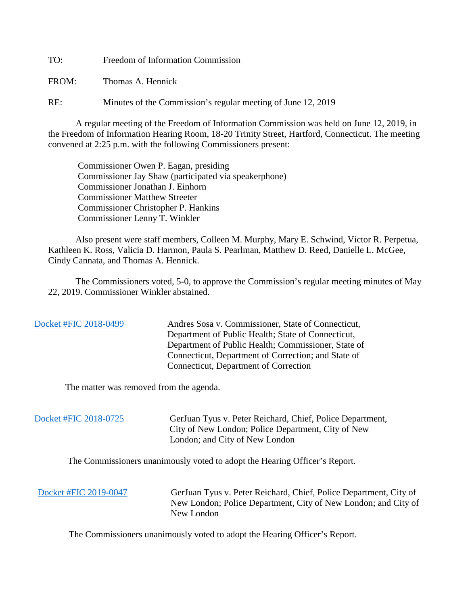TO: Freedom of Information Commission

FROM: Thomas A. Hennick

RE: Minutes of the Commission's regular meeting of June 12, 2019

A regular meeting of the Freedom of Information Commission was held on June 12, 2019, in the Freedom of Information Hearing Room, 18-20 Trinity Street, Hartford, Connecticut. The meeting convened at 2:25 p.m. with the following Commissioners present:

 Commissioner Owen P. Eagan, presiding Commissioner Jay Shaw (participated via speakerphone) Commissioner Jonathan J. Einhorn Commissioner Matthew Streeter Commissioner Christopher P. Hankins Commissioner Lenny T. Winkler

 Also present were staff members, Colleen M. Murphy, Mary E. Schwind, Victor R. Perpetua, Kathleen K. Ross, Valicia D. Harmon, Paula S. Pearlman, Matthew D. Reed, Danielle L. McGee, Cindy Cannata, and Thomas A. Hennick.

The Commissioners voted, 5-0, to approve the Commission's regular meeting minutes of May 22, 2019. Commissioner Winkler abstained.

 [Docket #FIC 2018-0499](https://www.ct.gov/foi/lib/foi/minutes/2019/june12/2018-0499.pdf) Andres Sosa v. Commissioner, State of Connecticut, Department of Public Health; State of Connecticut, Department of Public Health; Commissioner, State of Connecticut, Department of Correction; and State of Connecticut, Department of Correction

The matter was removed from the agenda.

[Docket #FIC 2018-0725](https://www.ct.gov/foi/lib/foi/minutes/2019/june12/2018-0725.pdf) GerJuan Tyus v. Peter Reichard, Chief, Police Department, City of New London; Police Department, City of New London; and City of New London

The Commissioners unanimously voted to adopt the Hearing Officer's Report.

 [Docket #FIC 2019-0047](https://www.ct.gov/foi/lib/foi/minutes/2019/june12/2018-0147.pdf) GerJuan Tyus v. Peter Reichard, Chief, Police Department, City of New London; Police Department, City of New London; and City of New London

The Commissioners unanimously voted to adopt the Hearing Officer's Report.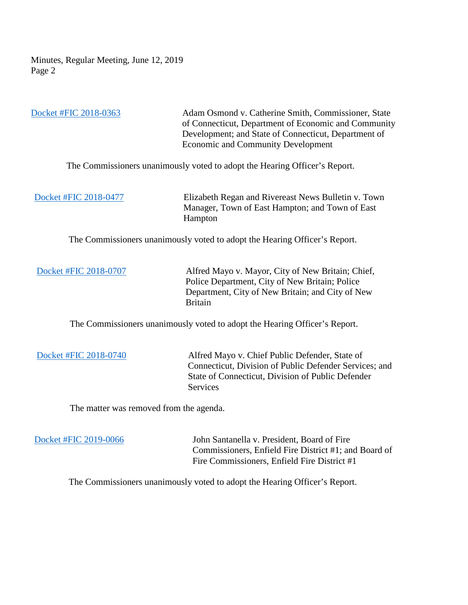Minutes, Regular Meeting, June 12, 2019 Page 2

 [Docket #FIC](https://www.ct.gov/foi/lib/foi/minutes/2019/june12/2018-0363.pdf) 2018-0363 Adam Osmond v. Catherine Smith, Commissioner, State of Connecticut, Department of Economic and Community Development; and State of Connecticut, Department of Economic and Community Development

The Commissioners unanimously voted to adopt the Hearing Officer's Report.

[Docket #FIC 2018-0477](https://www.ct.gov/foi/lib/foi/minutes/2019/june12/2018-0477.pdf) Elizabeth Regan and Rivereast News Bulletin v. Town Manager, Town of East Hampton; and Town of East Hampton

The Commissioners unanimously voted to adopt the Hearing Officer's Report.

[Docket #FIC 2018-0707](https://www.ct.gov/foi/lib/foi/minutes/2019/june12/2018-0707.pdf) Alfred Mayo v. Mayor, City of New Britain; Chief, Police Department, City of New Britain; Police Department, City of New Britain; and City of New Britain

The Commissioners unanimously voted to adopt the Hearing Officer's Report.

 [Docket #FIC 2018-0740](https://www.ct.gov/foi/lib/foi/minutes/2019/june12/2018-0740.pdf) Alfred Mayo v. Chief Public Defender, State of Connecticut, Division of Public Defender Services; and State of Connecticut, Division of Public Defender Services

The matter was removed from the agenda.

[Docket #FIC 2019-0066](https://www.ct.gov/foi/lib/foi/minutes/2019/june12/2019-0066.pdf) John Santanella v. President, Board of Fire Commissioners, Enfield Fire District #1; and Board of Fire Commissioners, Enfield Fire District #1

The Commissioners unanimously voted to adopt the Hearing Officer's Report.